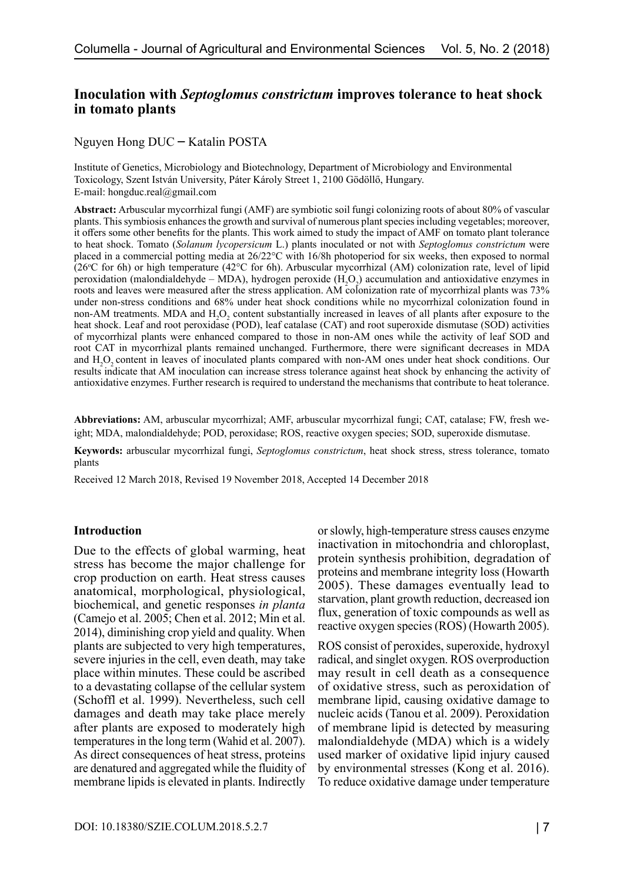# **Inoculation with** *Septoglomus constrictum* **improves tolerance to heat shock in tomato plants**

Nguyen Hong DUC – Katalin POSTA

Institute of Genetics, Microbiology and Biotechnology, Department of Microbiology and Environmental Toxicology, Szent István University, Páter Károly Street 1, 2100 Gödöllő, Hungary. E-mail: hongduc.real@gmail.com

**Abstract:** Arbuscular mycorrhizal fungi (AMF) are symbiotic soil fungi colonizing roots of about 80% of vascular plants. This symbiosis enhances the growth and survival of numerous plant species including vegetables; moreover, it offers some other benefits for the plants. This work aimed to study the impact of AMF on tomato plant tolerance to heat shock. Tomato (*Solanum lycopersicum* L.) plants inoculated or not with *Septoglomus constrictum* were placed in a commercial potting media at 26/22°C with 16/8h photoperiod for six weeks, then exposed to normal (26°C for 6h) or high temperature (42°C for 6h). Arbuscular mycorrhizal (AM) colonization rate, level of lipid peroxidation (malondialdehyde – MDA), hydrogen peroxide  $(H<sub>2</sub>O<sub>2</sub>)$  accumulation and antioxidative enzymes in roots and leaves were measured after the stress application. AM colonization rate of mycorrhizal plants was 73% under non-stress conditions and 68% under heat shock conditions while no mycorrhizal colonization found in non-AM treatments. MDA and  $H_2O_2$  content substantially increased in leaves of all plants after exposure to the heat shock. Leaf and root peroxidase (POD), leaf catalase (CAT) and root superoxide dismutase (SOD) activities of mycorrhizal plants were enhanced compared to those in non-AM ones while the activity of leaf SOD and root CAT in mycorrhizal plants remained unchanged. Furthermore, there were significant decreases in MDA and  $H_2O_2$  content in leaves of inoculated plants compared with non-AM ones under heat shock conditions. Our results indicate that AM inoculation can increase stress tolerance against heat shock by enhancing the activity of antioxidative enzymes. Further research is required to understand the mechanisms that contribute to heat tolerance.

**Abbreviations:** AM, arbuscular mycorrhizal; AMF, arbuscular mycorrhizal fungi; CAT, catalase; FW, fresh weight; MDA, malondialdehyde; POD, peroxidase; ROS, reactive oxygen species; SOD, superoxide dismutase.

**Keywords:** arbuscular mycorrhizal fungi, *Septoglomus constrictum*, heat shock stress, stress tolerance, tomato plants

Received 12 March 2018, Revised 19 November 2018, Accepted 14 December 2018

#### **Introduction**

Due to the effects of global warming, heat stress has become the major challenge for crop production on earth. Heat stress causes anatomical, morphological, physiological, biochemical, and genetic responses *in planta* (Camejo et al. 2005; Chen et al. 2012; Min et al. 2014), diminishing crop yield and quality. When plants are subjected to very high temperatures, severe injuries in the cell, even death, may take place within minutes. These could be ascribed to a devastating collapse of the cellular system (Schoffl et al. 1999). Nevertheless, such cell damages and death may take place merely after plants are exposed to moderately high temperatures in the long term (Wahid et al. 2007). As direct consequences of heat stress, proteins are denatured and aggregated while the fluidity of membrane lipids is elevated in plants. Indirectly

or slowly, high-temperature stress causes enzyme inactivation in mitochondria and chloroplast, protein synthesis prohibition, degradation of proteins and membrane integrity loss (Howarth 2005). These damages eventually lead to starvation, plant growth reduction, decreased ion flux, generation of toxic compounds as well as reactive oxygen species (ROS) (Howarth 2005).

ROS consist of peroxides, superoxide, hydroxyl radical, and singlet oxygen. ROS overproduction may result in cell death as a consequence of oxidative stress, such as peroxidation of membrane lipid, causing oxidative damage to nucleic acids (Tanou et al. 2009). Peroxidation of membrane lipid is detected by measuring malondialdehyde (MDA) which is a widely used marker of oxidative lipid injury caused by environmental stresses (Kong et al. 2016). To reduce oxidative damage under temperature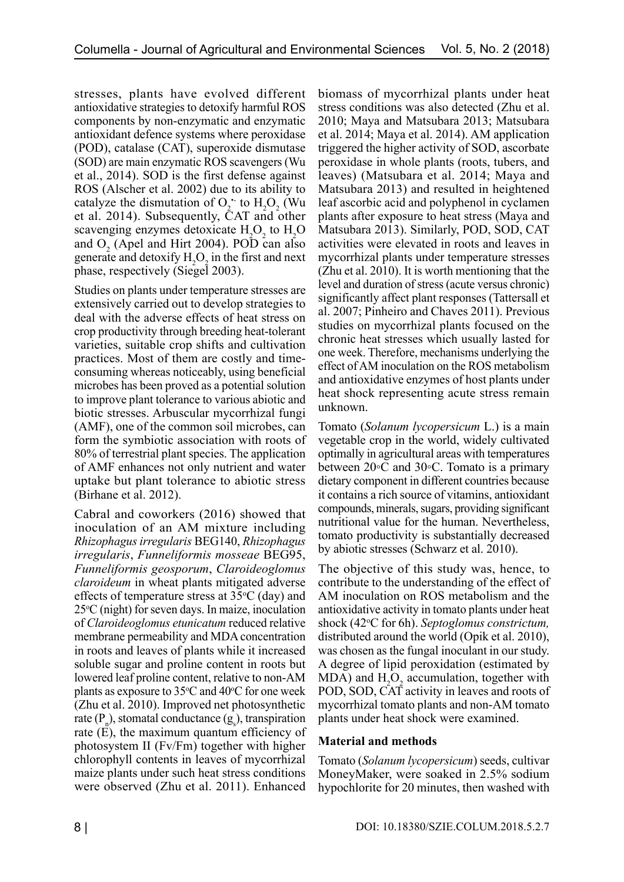stresses, plants have evolved different antioxidative strategies to detoxify harmful ROS components by non-enzymatic and enzymatic antioxidant defence systems where peroxidase (POD), catalase (CAT), superoxide dismutase (SOD) are main enzymatic ROS scavengers (Wu et al., 2014). SOD is the first defense against ROS (Alscher et al. 2002) due to its ability to catalyze the dismutation of  $O_2$  to  $H_2O_2$  (Wu et al. 2014). Subsequently, CAT and other scavenging enzymes detoxicate  $H_2O_2$  to  $H_2O$ and  $O_2$  (Apel and Hirt 2004). POD can also generate and detoxify  $H_2O_2$  in the first and next phase, respectively (Siegel 2003).

Studies on plants under temperature stresses are extensively carried out to develop strategies to deal with the adverse effects of heat stress on crop productivity through breeding heat-tolerant varieties, suitable crop shifts and cultivation practices. Most of them are costly and timeconsuming whereas noticeably, using beneficial microbes has been proved as a potential solution to improve plant tolerance to various abiotic and biotic stresses. Arbuscular mycorrhizal fungi (AMF), one of the common soil microbes, can form the symbiotic association with roots of 80% of terrestrial plant species. The application of AMF enhances not only nutrient and water uptake but plant tolerance to abiotic stress (Birhane et al. 2012).

Cabral and coworkers (2016) showed that inoculation of an AM mixture including *Rhizophagus irregularis* BEG140, *Rhizophagus irregularis*, *Funneliformis mosseae* BEG95, *Funneliformis geosporum*, *Claroideoglomus claroideum* in wheat plants mitigated adverse effects of temperature stress at  $35^{\circ}$ C (day) and  $25^{\circ}$ C (night) for seven days. In maize, inoculation of *Claroideoglomus etunicatum* reduced relative membrane permeability and MDA concentration in roots and leaves of plants while it increased soluble sugar and proline content in roots but lowered leaf proline content, relative to non-AM plants as exposure to  $35^{\circ}$ C and  $40^{\circ}$ C for one week (Zhu et al. 2010). Improved net photosynthetic rate  $(P_n)$ , stomatal conductance  $(g_s)$ , transpiration rate  $(\vec{E})$ , the maximum quantum efficiency of photosystem II (Fv/Fm) together with higher chlorophyll contents in leaves of mycorrhizal maize plants under such heat stress conditions were observed (Zhu et al. 2011). Enhanced

biomass of mycorrhizal plants under heat stress conditions was also detected (Zhu et al. 2010; Maya and Matsubara 2013; Matsubara et al. 2014; Maya et al. 2014). AM application triggered the higher activity of SOD, ascorbate peroxidase in whole plants (roots, tubers, and leaves) (Matsubara et al. 2014; Maya and Matsubara 2013) and resulted in heightened leaf ascorbic acid and polyphenol in cyclamen plants after exposure to heat stress (Maya and Matsubara 2013). Similarly, POD, SOD, CAT activities were elevated in roots and leaves in mycorrhizal plants under temperature stresses (Zhu et al. 2010). It is worth mentioning that the level and duration of stress (acute versus chronic) significantly affect plant responses (Tattersall et al. 2007; Pinheiro and Chaves 2011). Previous studies on mycorrhizal plants focused on the chronic heat stresses which usually lasted for one week. Therefore, mechanisms underlying the effect of AM inoculation on the ROS metabolism and antioxidative enzymes of host plants under heat shock representing acute stress remain unknown.

Tomato (*Solanum lycopersicum* L.) is a main vegetable crop in the world, widely cultivated optimally in agricultural areas with temperatures between 20◦C and 30◦C. Tomato is a primary dietary component in different countries because it contains a rich source of vitamins, antioxidant compounds, minerals, sugars, providing significant nutritional value for the human. Nevertheless, tomato productivity is substantially decreased by abiotic stresses (Schwarz et al. 2010).

The objective of this study was, hence, to contribute to the understanding of the effect of AM inoculation on ROS metabolism and the antioxidative activity in tomato plants under heat shock (42°C for 6h). Septoglomus constrictum, distributed around the world (Opik et al. 2010), was chosen as the fungal inoculant in our study. A degree of lipid peroxidation (estimated by MDA) and  $H_2O_2$  accumulation, together with POD, SOD, CAT activity in leaves and roots of mycorrhizal tomato plants and non-AM tomato plants under heat shock were examined.

## **Material and methods**

Tomato (*Solanum lycopersicum*) seeds, cultivar MoneyMaker, were soaked in 2.5% sodium hypochlorite for 20 minutes, then washed with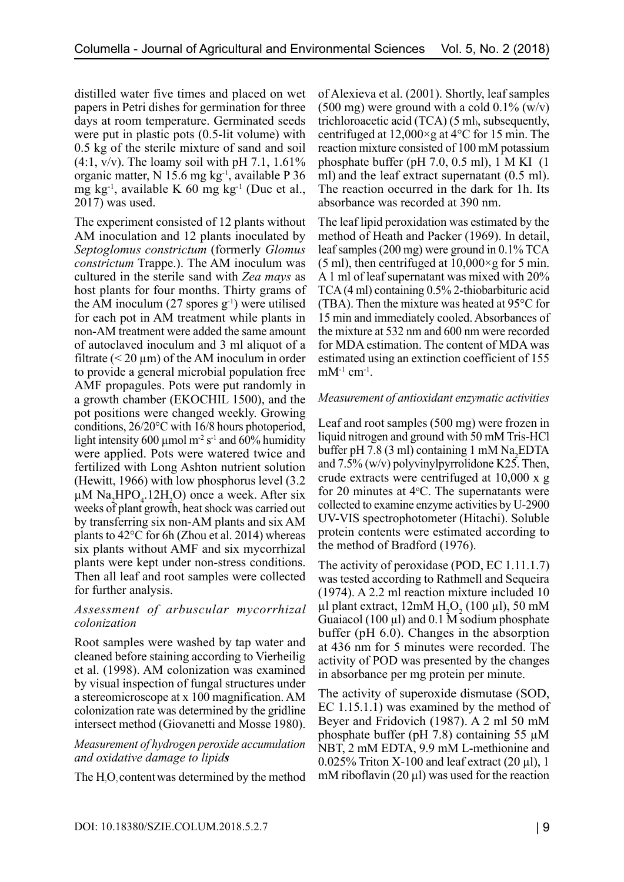distilled water five times and placed on wet papers in Petri dishes for germination for three days at room temperature. Germinated seeds were put in plastic pots (0.5-lit volume) with 0.5 kg of the sterile mixture of sand and soil  $(4:1, v/v)$ . The loamy soil with pH 7.1, 1.61% organic matter, N 15.6 mg kg-1, available P 36 mg kg<sup>-1</sup>, available K 60 mg kg<sup>-1</sup> (Duc et al., 2017) was used.

The experiment consisted of 12 plants without AM inoculation and 12 plants inoculated by *Septoglomus constrictum* (formerly *Glomus constrictum* Trappe.). The AM inoculum was cultured in the sterile sand with *Zea mays* as host plants for four months. Thirty grams of the AM inoculum  $(27 \text{ spores } g^{-1})$  were utilised for each pot in AM treatment while plants in non-AM treatment were added the same amount of autoclaved inoculum and 3 ml aliquot of a filtrate ( $\leq$  20  $\mu$ m) of the AM inoculum in order to provide a general microbial population free AMF propagules. Pots were put randomly in a growth chamber (EKOCHIL 1500), and the pot positions were changed weekly. Growing conditions, 26/20°C with 16/8 hours photoperiod, light intensity 600 µmol  $m<sup>2</sup> s<sup>-1</sup>$  and 60% humidity were applied. Pots were watered twice and fertilized with Long Ashton nutrient solution (Hewitt, 1966) with low phosphorus level (3.2  $\mu$ M Na<sub>2</sub>HPO<sub>4</sub>.12H<sub>2</sub>O) once a week. After six weeks of plant growth, heat shock was carried out by transferring six non-AM plants and six AM plants to 42°C for 6h (Zhou et al. 2014) whereas six plants without AMF and six mycorrhizal plants were kept under non-stress conditions. Then all leaf and root samples were collected for further analysis.

#### *Assessment of arbuscular mycorrhizal colonization*

Root samples were washed by tap water and cleaned before staining according to Vierheilig et al. (1998). AM colonization was examined by visual inspection of fungal structures under a stereomicroscope at x 100 magnification. AM colonization rate was determined by the gridline intersect method (Giovanetti and Mosse 1980).

#### *Measurement of hydrogen peroxide accumulation and oxidative damage to lipids*

The  $H_2O_2$  content was determined by the method

of Alexieva et al. (2001). Shortly, leaf samples  $(500 \text{ mg})$  were ground with a cold  $0.1\%$  (w/v) trichloroacetic acid (TCA) (5 ml), subsequently, centrifuged at  $12,000 \times g$  at 4<sup>o</sup>C for 15 min. The reaction mixture consisted of 100 mM potassium phosphate buffer (pH 7.0, 0.5 ml), 1 M KI (1 ml) and the leaf extract supernatant (0.5 ml). The reaction occurred in the dark for 1h. Its absorbance was recorded at 390 nm.

The leaf lipid peroxidation was estimated by the method of Heath and Packer (1969). In detail, leaf samples (200 mg) were ground in 0.1% TCA (5 ml), then centrifuged at  $10,000 \times g$  for 5 min. A 1 ml of leaf supernatant was mixed with 20% TCA (4 ml) containing 0.5% 2-thiobarbituric acid (TBA). Then the mixture was heated at 95°C for 15 min and immediately cooled. Absorbances of the mixture at 532 nm and 600 nm were recorded for MDA estimation. The content of MDA was estimated using an extinction coefficient of 155  $mM^{-1}$  cm<sup>-1</sup>.

#### *Measurement of antioxidant enzymatic activities*

Leaf and root samples (500 mg) were frozen in liquid nitrogen and ground with 50 mM Tris-HCl buffer pH 7.8 (3 ml) containing 1 mM  $\text{Na}_2$ EDTA and 7.5% (w/v) polyvinylpyrrolidone K25. Then, crude extracts were centrifuged at 10,000 x g for 20 minutes at  $4^{\circ}$ C. The supernatants were collected to examine enzyme activities by U-2900 UV-VIS spectrophotometer (Hitachi). Soluble protein contents were estimated according to the method of Bradford (1976).

The activity of peroxidase (POD, EC 1.11.1.7) was tested according to Rathmell and Sequeira (1974). A 2.2 ml reaction mixture included 10  $\mu$ l plant extract,  $12 \text{mM H}_2\text{O}_2$  (100  $\mu$ l), 50 mM Guaiacol  $(100 \mu l)$  and 0.1 M sodium phosphate buffer (pH 6.0). Changes in the absorption at 436 nm for 5 minutes were recorded. The activity of POD was presented by the changes in absorbance per mg protein per minute.

The activity of superoxide dismutase (SOD, EC 1.15.1.1) was examined by the method of Beyer and Fridovich (1987). A 2 ml 50 mM phosphate buffer (pH 7.8) containing 55  $\mu$ M NBT, 2 mM EDTA, 9.9 mM L-methionine and  $0.025\%$  Triton X-100 and leaf extract (20  $\mu$ l), 1 mM riboflavin  $(20 \mu l)$  was used for the reaction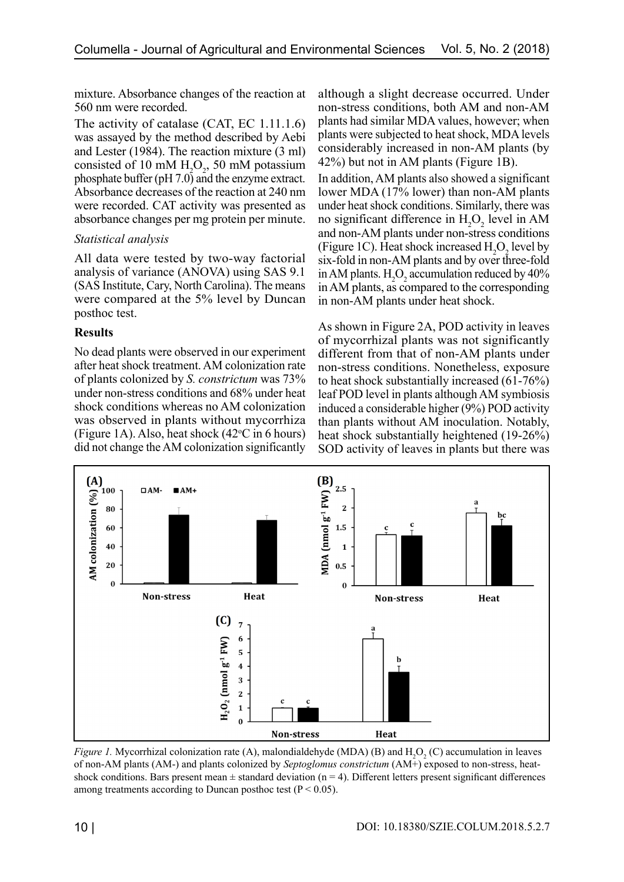mixture. Absorbance changes of the reaction at 560 nm were recorded.

The activity of catalase (CAT, EC 1.11.1.6) was assayed by the method described by Aebi and Lester (1984). The reaction mixture (3 ml) consisted of 10 mM  $H_2O_2$ , 50 mM potassium phosphate buffer (pH 7.0) and the enzyme extract. Absorbance decreases of the reaction at 240 nm were recorded. CAT activity was presented as absorbance changes per mg protein per minute.

## *Statistical analysis*

All data were tested by two-way factorial analysis of variance (ANOVA) using SAS 9.1 (SAS Institute, Cary, North Carolina). The means were compared at the 5% level by Duncan posthoc test.

## **Results**

No dead plants were observed in our experiment after heat shock treatment. AM colonization rate of plants colonized by *S. constrictum* was 73% under non-stress conditions and 68% under heat shock conditions whereas no AM colonization was observed in plants without mycorrhiza (Figure 1A). Also, heat shock  $(42^{\circ}C \text{ in } 6 \text{ hours})$ did not change the AM colonization significantly

although a slight decrease occurred. Under non-stress conditions, both AM and non-AM plants had similar MDA values, however; when plants were subjected to heat shock, MDA levels considerably increased in non-AM plants (by 42%) but not in AM plants (Figure 1B).

In addition, AM plants also showed a significant lower MDA (17% lower) than non-AM plants under heat shock conditions. Similarly, there was no significant difference in  $H_2O_2$  level in AM and non-AM plants under non-stress conditions (Figure 1C). Heat shock increased  $H_2O_2$  level by six-fold in non-AM plants and by over three-fold in AM plants.  $H_2O_2$  accumulation reduced by 40% in AM plants, as compared to the corresponding in non-AM plants under heat shock.

As shown in Figure 2A, POD activity in leaves of mycorrhizal plants was not significantly different from that of non-AM plants under non-stress conditions. Nonetheless, exposure to heat shock substantially increased (61-76%) leaf POD level in plants although AM symbiosis induced a considerable higher (9%) POD activity than plants without AM inoculation. Notably, heat shock substantially heightened (19-26%) SOD activity of leaves in plants but there was



*Figure 1*. Mycorrhizal colonization rate (A), malondialdehyde (MDA) (B) and  $H_2O_2(C)$  accumulation in leaves of non-AM plants (AM-) and plants colonized by *Septoglomus constrictum* (AM+) exposed to non-stress, heatshock conditions. Bars present mean  $\pm$  standard deviation (n = 4). Different letters present significant differences among treatments according to Duncan posthoc test ( $P < 0.05$ ).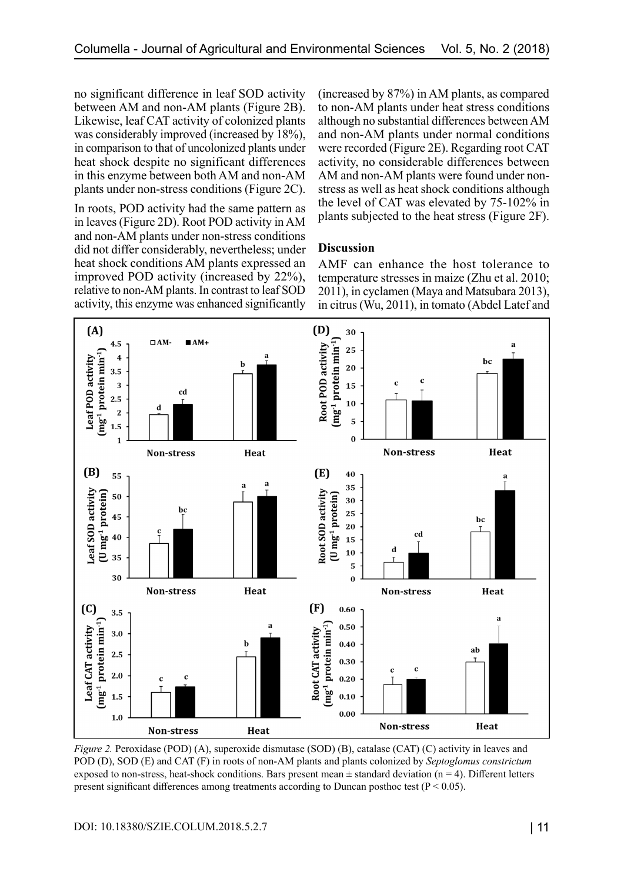no significant difference in leaf SOD activity between AM and non-AM plants (Figure 2B). Likewise, leaf CAT activity of colonized plants was considerably improved (increased by 18%), in comparison to that of uncolonized plants under heat shock despite no significant differences in this enzyme between both AM and non-AM plants under non-stress conditions (Figure 2C).

In roots, POD activity had the same pattern as in leaves (Figure 2D). Root POD activity in AM and non-AM plants under non-stress conditions did not differ considerably, nevertheless; under heat shock conditions AM plants expressed an improved POD activity (increased by 22%), relative to non-AM plants. In contrast to leaf SOD activity, this enzyme was enhanced significantly (increased by 87%) in AM plants, as compared to non-AM plants under heat stress conditions although no substantial differences between AM and non-AM plants under normal conditions were recorded (Figure 2E). Regarding root CAT activity, no considerable differences between AM and non-AM plants were found under nonstress as well as heat shock conditions although the level of CAT was elevated by 75-102% in plants subjected to the heat stress (Figure 2F).

#### **Discussion**

AMF can enhance the host tolerance to temperature stresses in maize (Zhu et al. 2010; 2011), in cyclamen (Maya and Matsubara 2013), in citrus (Wu, 2011), in tomato (Abdel Latef and



*Figure 2.* Peroxidase (POD) (A), superoxide dismutase (SOD) (B), catalase (CAT) (C) activity in leaves and POD (D), SOD (E) and CAT (F) in roots of non-AM plants and plants colonized by *Septoglomus constrictum* exposed to non-stress, heat-shock conditions. Bars present mean  $\pm$  standard deviation (n = 4). Different letters present significant differences among treatments according to Duncan posthoc test ( $P < 0.05$ ).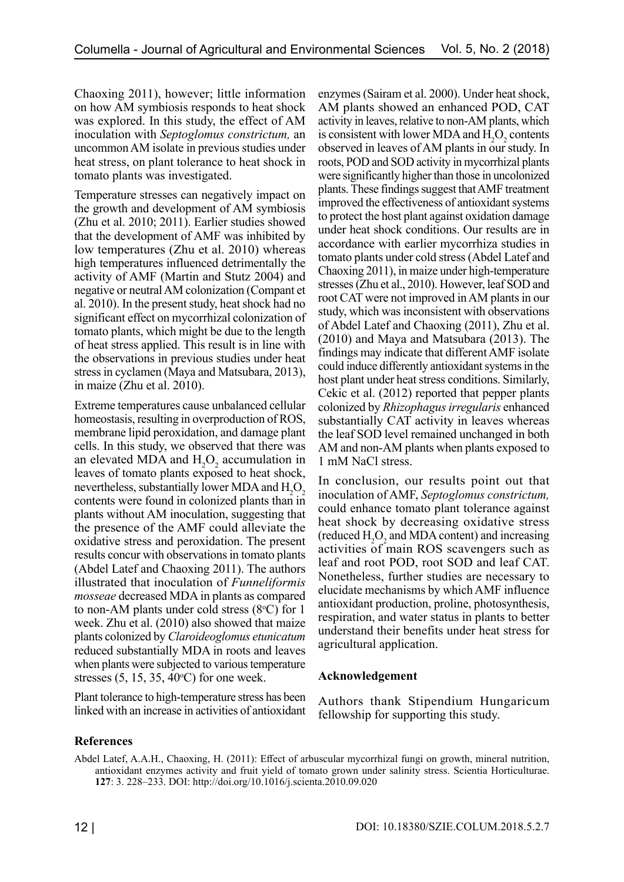Chaoxing 2011), however; little information on how AM symbiosis responds to heat shock was explored. In this study, the effect of AM inoculation with *Septoglomus constrictum,* an uncommon AM isolate in previous studies under heat stress, on plant tolerance to heat shock in tomato plants was investigated.

Temperature stresses can negatively impact on the growth and development of AM symbiosis (Zhu et al. 2010; 2011). Earlier studies showed that the development of AMF was inhibited by low temperatures (Zhu et al. 2010) whereas high temperatures influenced detrimentally the activity of AMF (Martin and Stutz 2004) and negative or neutral AM colonization (Compant et al. 2010). In the present study, heat shock had no significant effect on mycorrhizal colonization of tomato plants, which might be due to the length of heat stress applied. This result is in line with the observations in previous studies under heat stress in cyclamen (Maya and Matsubara, 2013), in maize (Zhu et al. 2010).

Extreme temperatures cause unbalanced cellular homeostasis, resulting in overproduction of ROS, membrane lipid peroxidation, and damage plant cells. In this study, we observed that there was an elevated MDA and  $H_2O_2$  accumulation in leaves of tomato plants exposed to heat shock, nevertheless, substantially lower MDA and  $H_2O_2$ contents were found in colonized plants than in plants without AM inoculation, suggesting that the presence of the AMF could alleviate the oxidative stress and peroxidation. The present results concur with observations in tomato plants (Abdel Latef and Chaoxing 2011). The authors illustrated that inoculation of *Funneliformis mosseae* decreased MDA in plants as compared to non-AM plants under cold stress  $(8^{\circ}C)$  for 1 week. Zhu et al. (2010) also showed that maize plants colonized by *Claroideoglomus etunicatum* reduced substantially MDA in roots and leaves when plants were subjected to various temperature stresses  $(5, 15, 35, 40^{\circ}C)$  for one week.

Plant tolerance to high-temperature stress has been linked with an increase in activities of antioxidant enzymes (Sairam et al. 2000). Under heat shock, AM plants showed an enhanced POD, CAT activity in leaves, relative to non-AM plants, which is consistent with lower MDA and  $H_2O_2$  contents observed in leaves of AM plants in our study. In roots, POD and SOD activity in mycorrhizal plants were significantly higher than those in uncolonized plants. These findings suggest that AMF treatment improved the effectiveness of antioxidant systems to protect the host plant against oxidation damage under heat shock conditions. Our results are in accordance with earlier mycorrhiza studies in tomato plants under cold stress (Abdel Latef and Chaoxing 2011), in maize under high-temperature stresses (Zhu et al., 2010). However, leaf SOD and root CAT were not improved in AM plants in our study, which was inconsistent with observations of Abdel Latef and Chaoxing (2011), Zhu et al. (2010) and Maya and Matsubara (2013). The findings may indicate that different AMF isolate could induce differently antioxidant systems in the host plant under heat stress conditions. Similarly, Cekic et al. (2012) reported that pepper plants colonized by *Rhizophagusirregularis* enhanced substantially CAT activity in leaves whereas the leaf SOD level remained unchanged in both AM and non-AM plants when plants exposed to 1 mM NaCl stress.

In conclusion, our results point out that inoculation of AMF, *Septoglomus constrictum,* could enhance tomato plant tolerance against heat shock by decreasing oxidative stress (reduced  $H_2O_2$  and MDA content) and increasing activities of main ROS scavengers such as leaf and root POD, root SOD and leaf CAT. Nonetheless, further studies are necessary to elucidate mechanisms by which AMF influence antioxidant production, proline, photosynthesis, respiration, and water status in plants to better understand their benefits under heat stress for agricultural application.

#### **Acknowledgement**

Authors thank Stipendium Hungaricum fellowship for supporting this study.

## **References**

Abdel Latef, A.A.H., Chaoxing, H. (2011): Effect of arbuscular mycorrhizal fungi on growth, mineral nutrition, antioxidant enzymes activity and fruit yield of tomato grown under salinity stress. Scientia Horticulturae. **127**: 3. 228–233. DOI:<http://doi.org/10.1016/j.scienta.2010.09.020>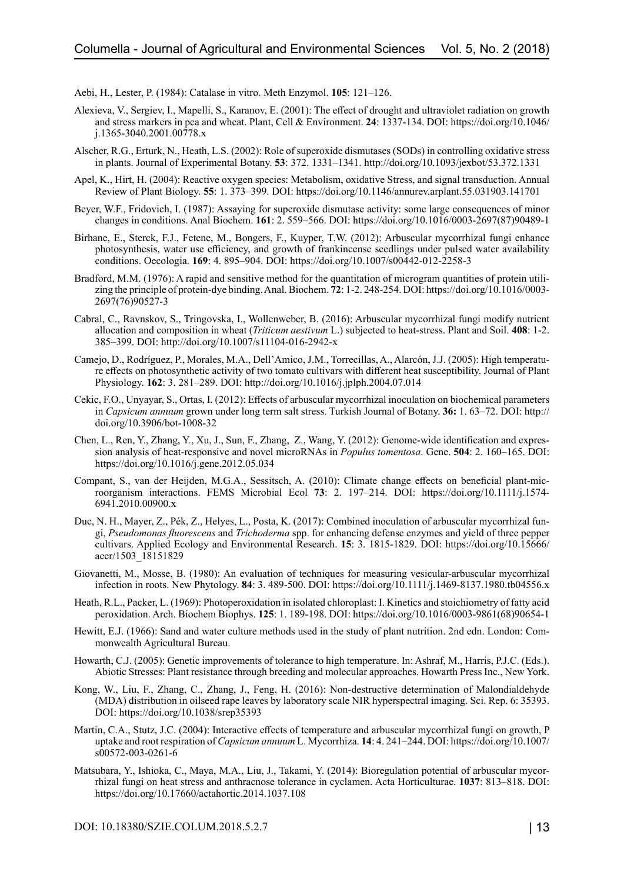Aebi, H., Lester, P. (1984): Catalase in vitro. Meth Enzymol. **105**: 121–126.

- Alexieva, V., Sergiev, I., Mapelli, S., Karanov, E. (2001): The effect of drought and ultraviolet radiation on growth and stress markers in pea and wheat. Plant, Cell & Environment. **24**: 1337-134. DOI: [https://doi.org/10.1046/](https://doi.org/10.1046/j.1365-3040.2001.00778.x) [j.1365-3040.2001.00778.x](https://doi.org/10.1046/j.1365-3040.2001.00778.x)
- Alscher, R.G., Erturk, N., Heath, L.S. (2002): Role of superoxide dismutases (SODs) in controlling oxidative stress in plants. Journal of Experimental Botany. **53**: 372. 1331–1341. <http://doi.org/10.1093/jexbot/53.372.1331>
- Apel, K., Hirt, H. (2004): Reactive oxygen species: Metabolism, oxidative Stress, and signal transduction. Annual Review of Plant Biology. **55**: 1. 373–399. DOI: <https://doi.org/10.1146/annurev.arplant.55.031903.141701>
- Beyer, W.F., Fridovich, I. (1987): Assaying for superoxide dismutase activity: some large consequences of minor changes in conditions. Anal Biochem. **161**: 2. 559–566. DOI: [https://doi.org/10.1016/0003-2697\(87\)90489-1](https://doi.org/10.1016/0003-2697(87)90489-1)
- Birhane, E., Sterck, F.J., Fetene, M., Bongers, F., Kuyper, T.W. (2012): Arbuscular mycorrhizal fungi enhance photosynthesis, water use efficiency, and growth of frankincense seedlings under pulsed water availability conditions. Oecologia. **169**: 4. 895–904. DOI: <https://doi.org/10.1007/s00442-012-2258-3>
- Bradford, M.M. (1976): A rapid and sensitive method for the quantitation of microgram quantities of protein utilizing the principle of protein-dye binding. Anal. Biochem. **72**: 1-2. 248-254. DOI: [https://doi.org/10.1016/0003-](https://doi.org/10.1016/0003-2697(76)90527-3) [2697\(76\)90527-3](https://doi.org/10.1016/0003-2697(76)90527-3)
- Cabral, C., Ravnskov, S., Tringovska, I., Wollenweber, B. (2016): Arbuscular mycorrhizal fungi modify nutrient allocation and composition in wheat (*Triticum aestivum* L.) subjected to heat-stress. Plant and Soil. **408**: 1-2. 385–399. DOI: <http://doi.org/10.1007/s11104-016-2942-x>
- Camejo, D., Rodríguez, P., Morales, M.A., Dell'Amico, J.M., Torrecillas, A., Alarcón, J.J. (2005): High temperature effects on photosynthetic activity of two tomato cultivars with different heat susceptibility. Journal of Plant Physiology. **162**: 3. 281–289. DOI:<http://doi.org/10.1016/j.jplph.2004.07.014>
- Cekic, F.O., Unyayar, S., Ortas, I. (2012): Effects of arbuscular mycorrhizal inoculation on biochemical parameters in *Capsicum annuum* grown under long term salt stress. Turkish Journal of Botany. **36:** 1. 63–72. DOI: [http://](http://doi.org/10.3906/bot-1008-32) [doi.org/10.3906/bot-1008-32](http://doi.org/10.3906/bot-1008-32)
- Chen, L., Ren, Y., Zhang, Y., Xu, J., Sun, F., Zhang, Z., Wang, Y. (2012): Genome-wide identification and expression analysis of heat-responsive and novel microRNAs in *Populus tomentosa*. Gene. **504**: 2. 160–165. DOI: <https://doi.org/10.1016/j.gene.2012.05.034>
- Compant, S., van der Heijden, M.G.A., Sessitsch, A. (2010): Climate change effects on beneficial plant-microorganism interactions. FEMS Microbial Ecol **73**: 2. 197–214. DOI: [https://doi.org/10.1111/j.1574-](https://doi.org/10.1111/j.1574-6941.2010.00900.x) [6941.2010.00900.x](https://doi.org/10.1111/j.1574-6941.2010.00900.x)
- Duc, N. H., Mayer, Z., Pék, Z., Helyes, L., Posta, K. (2017): Combined inoculation of arbuscular mycorrhizal fungi, *Pseudomonas fluorescens* and *Trichoderma* spp. for enhancing defense enzymes and yield of three pepper cultivars. Applied Ecology and Environmental Research. **15**: 3. 1815-1829. DOI: [https://doi.org/10.15666/](https://doi.org/10.15666/aeer/1503_18151829) [aeer/1503\\_18151829](https://doi.org/10.15666/aeer/1503_18151829)
- Giovanetti, M., Mosse, B. (1980): An evaluation of techniques for measuring vesicular-arbuscular mycorrhizal infection in roots. New Phytology. **84**: 3. 489-500. DOI:<https://doi.org/10.1111/j.1469-8137.1980.tb04556.x>
- Heath, R.L., Packer, L. (1969): Photoperoxidation in isolated chloroplast: I. Kinetics and stoichiometry of fatty acid peroxidation. Arch. Biochem Biophys. **125**: 1. 189-198. DOI: [https://doi.org/10.1016/0003-9861\(68\)90654-1](https://doi.org/10.1016/0003-9861(68)90654-1)
- Hewitt, E.J. (1966): Sand and water culture methods used in the study of plant nutrition. 2nd edn. London: Commonwealth Agricultural Bureau.
- Howarth, C.J. (2005): Genetic improvements of tolerance to high temperature. In: Ashraf, M., Harris, P.J.C. (Eds.). Abiotic Stresses: Plant resistance through breeding and molecular approaches. Howarth Press Inc., New York.
- Kong, W., Liu, F., Zhang, C., Zhang, J., Feng, H. (2016): Non-destructive determination of Malondialdehyde (MDA) distribution in oilseed rape leaves by laboratory scale NIR hyperspectral imaging. Sci. Rep. 6: 35393. DOI: [https://doi.org/1](https://doi.org/10.1007/s00572-003-0261-6)0.1038/srep35393
- Martin, C.A., Stutz, J.C. (2004): Interactive effects of temperature and arbuscular mycorrhizal fungi on growth, P uptake and root respiration of *Capsicum annuum* L. Mycorrhiza. **14**: 4. 241–244. DOI: [https://doi.org/10.1007/](https://doi.org/10.1007/s00572-003-0261-6) [s00572-003-0261-6](https://doi.org/10.1007/s00572-003-0261-6)
- Matsubara, Y., Ishioka, C., Maya, M.A., Liu, J., Takami, Y. (2014): Bioregulation potential of arbuscular mycorrhizal fungi on heat stress and anthracnose tolerance in cyclamen. Acta Horticulturae. **1037**: 813–818. DOI: <https://doi.org/10.17660/actahortic.2014.1037.108>